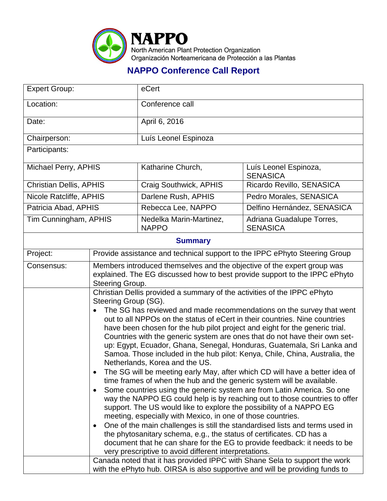

## **NAPPO Conference Call Report**

| <b>Expert Group:</b>           |                                                                                                                                                                                                                                                                                                                                                                                                                                                                                                                                                                                                                                                                                                                                                                                                                                                                                                                                                                                                                                                                                                                                                                                                                                                                                                                                                                                                                                                                                                                                                | eCert                                                                      |                                                                                                                                                            |  |
|--------------------------------|------------------------------------------------------------------------------------------------------------------------------------------------------------------------------------------------------------------------------------------------------------------------------------------------------------------------------------------------------------------------------------------------------------------------------------------------------------------------------------------------------------------------------------------------------------------------------------------------------------------------------------------------------------------------------------------------------------------------------------------------------------------------------------------------------------------------------------------------------------------------------------------------------------------------------------------------------------------------------------------------------------------------------------------------------------------------------------------------------------------------------------------------------------------------------------------------------------------------------------------------------------------------------------------------------------------------------------------------------------------------------------------------------------------------------------------------------------------------------------------------------------------------------------------------|----------------------------------------------------------------------------|------------------------------------------------------------------------------------------------------------------------------------------------------------|--|
| Location:                      |                                                                                                                                                                                                                                                                                                                                                                                                                                                                                                                                                                                                                                                                                                                                                                                                                                                                                                                                                                                                                                                                                                                                                                                                                                                                                                                                                                                                                                                                                                                                                | Conference call                                                            |                                                                                                                                                            |  |
| Date:                          |                                                                                                                                                                                                                                                                                                                                                                                                                                                                                                                                                                                                                                                                                                                                                                                                                                                                                                                                                                                                                                                                                                                                                                                                                                                                                                                                                                                                                                                                                                                                                | April 6, 2016                                                              |                                                                                                                                                            |  |
| Chairperson:                   |                                                                                                                                                                                                                                                                                                                                                                                                                                                                                                                                                                                                                                                                                                                                                                                                                                                                                                                                                                                                                                                                                                                                                                                                                                                                                                                                                                                                                                                                                                                                                | Luís Leonel Espinoza                                                       |                                                                                                                                                            |  |
| Participants:                  |                                                                                                                                                                                                                                                                                                                                                                                                                                                                                                                                                                                                                                                                                                                                                                                                                                                                                                                                                                                                                                                                                                                                                                                                                                                                                                                                                                                                                                                                                                                                                |                                                                            |                                                                                                                                                            |  |
| Michael Perry, APHIS           |                                                                                                                                                                                                                                                                                                                                                                                                                                                                                                                                                                                                                                                                                                                                                                                                                                                                                                                                                                                                                                                                                                                                                                                                                                                                                                                                                                                                                                                                                                                                                | Katharine Church,                                                          | Luís Leonel Espinoza,<br><b>SENASICA</b>                                                                                                                   |  |
| <b>Christian Dellis, APHIS</b> |                                                                                                                                                                                                                                                                                                                                                                                                                                                                                                                                                                                                                                                                                                                                                                                                                                                                                                                                                                                                                                                                                                                                                                                                                                                                                                                                                                                                                                                                                                                                                | Craig Southwick, APHIS                                                     | Ricardo Revillo, SENASICA                                                                                                                                  |  |
| Nicole Ratcliffe, APHIS        |                                                                                                                                                                                                                                                                                                                                                                                                                                                                                                                                                                                                                                                                                                                                                                                                                                                                                                                                                                                                                                                                                                                                                                                                                                                                                                                                                                                                                                                                                                                                                | Darlene Rush, APHIS                                                        | Pedro Morales, SENASICA                                                                                                                                    |  |
| Patricia Abad, APHIS           |                                                                                                                                                                                                                                                                                                                                                                                                                                                                                                                                                                                                                                                                                                                                                                                                                                                                                                                                                                                                                                                                                                                                                                                                                                                                                                                                                                                                                                                                                                                                                | Rebecca Lee, NAPPO                                                         | Delfino Hernández, SENASICA                                                                                                                                |  |
| Tim Cunningham, APHIS          |                                                                                                                                                                                                                                                                                                                                                                                                                                                                                                                                                                                                                                                                                                                                                                                                                                                                                                                                                                                                                                                                                                                                                                                                                                                                                                                                                                                                                                                                                                                                                | Nedelka Marin-Martinez,<br><b>NAPPO</b>                                    | Adriana Guadalupe Torres,<br><b>SENASICA</b>                                                                                                               |  |
| <b>Summary</b>                 |                                                                                                                                                                                                                                                                                                                                                                                                                                                                                                                                                                                                                                                                                                                                                                                                                                                                                                                                                                                                                                                                                                                                                                                                                                                                                                                                                                                                                                                                                                                                                |                                                                            |                                                                                                                                                            |  |
| Project:                       |                                                                                                                                                                                                                                                                                                                                                                                                                                                                                                                                                                                                                                                                                                                                                                                                                                                                                                                                                                                                                                                                                                                                                                                                                                                                                                                                                                                                                                                                                                                                                | Provide assistance and technical support to the IPPC ePhyto Steering Group |                                                                                                                                                            |  |
| Consensus:                     | Members introduced themselves and the objective of the expert group was<br>explained. The EG discussed how to best provide support to the IPPC ePhyto<br>Steering Group.<br>Christian Dellis provided a summary of the activities of the IPPC ePhyto<br>Steering Group (SG).<br>The SG has reviewed and made recommendations on the survey that went<br>out to all NPPOs on the status of eCert in their countries. Nine countries<br>have been chosen for the hub pilot project and eight for the generic trial.<br>Countries with the generic system are ones that do not have their own set-<br>up: Egypt, Ecuador, Ghana, Senegal, Honduras, Guatemala, Sri Lanka and<br>Samoa. Those included in the hub pilot: Kenya, Chile, China, Australia, the<br>Netherlands, Korea and the US.<br>The SG will be meeting early May, after which CD will have a better idea of<br>time frames of when the hub and the generic system will be available.<br>Some countries using the generic system are from Latin America. So one<br>way the NAPPO EG could help is by reaching out to those countries to offer<br>support. The US would like to explore the possibility of a NAPPO EG<br>meeting, especially with Mexico, in one of those countries.<br>One of the main challenges is still the standardised lists and terms used in<br>the phytosanitary schema, e.g., the status of certificates. CD has a<br>document that he can share for the EG to provide feedback: it needs to be<br>very prescriptive to avoid different interpretations. |                                                                            |                                                                                                                                                            |  |
|                                |                                                                                                                                                                                                                                                                                                                                                                                                                                                                                                                                                                                                                                                                                                                                                                                                                                                                                                                                                                                                                                                                                                                                                                                                                                                                                                                                                                                                                                                                                                                                                |                                                                            | Canada noted that it has provided IPPC with Shane Sela to support the work<br>with the ePhyto hub. OIRSA is also supportive and will be providing funds to |  |